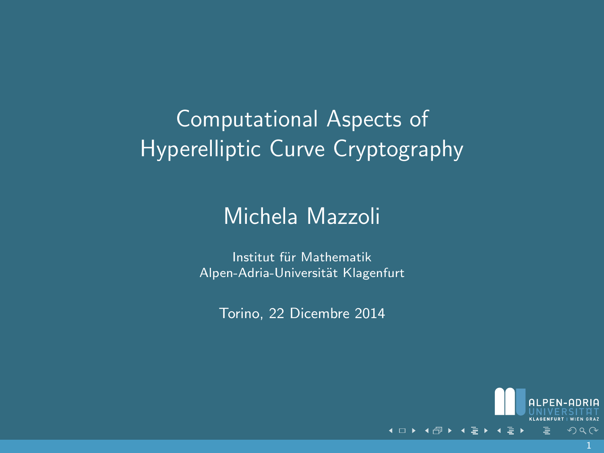# Computational Aspects of Hyperelliptic Curve Cryptography

#### Michela Mazzoli

Institut für Mathematik Alpen-Adria-Universität Klagenfurt

Torino, 22 Dicembre 2014

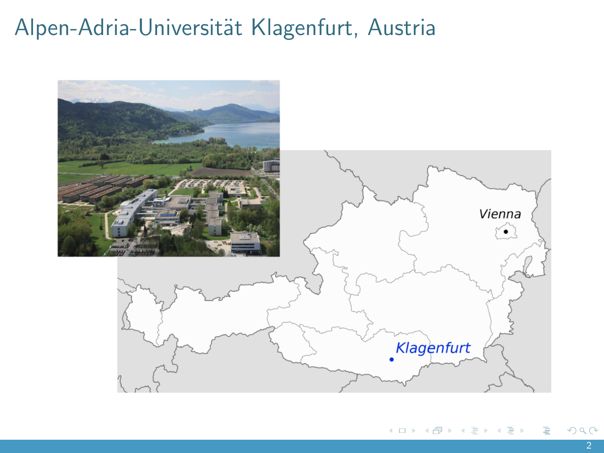# Alpen-Adria-Universität Klagenfurt, Austria

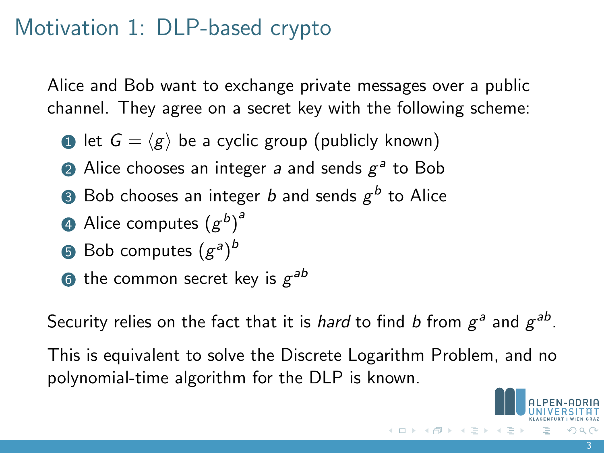## Motivation 1: DLP-based crypto

Alice and Bob want to exchange private messages over a public channel. They agree on a secret key with the following scheme:

- **1** let  $G = \langle g \rangle$  be a cyclic group (publicly known)
- $\overline{a}$  Alice chooses an integer  $a$  and sends  $g^a$  to Bob
- $\,$  Bob chooses an integer  $b$  and sends  $g^b$  to Alice
- 4 Alice computes  $(g^b)^d$
- $\,$  Bob computes  $(g^a)^b$
- $\bullet$  the common secret key is  $g^{ab}$

Security relies on the fact that it is *hard* to find *b* from  $g^a$  and  $g^{ab}$ .

This is equivalent to solve the Discrete Logarithm Problem, and no polynomial-time algorithm for the DLP is known.

イロト イ部 トイヨ トイヨト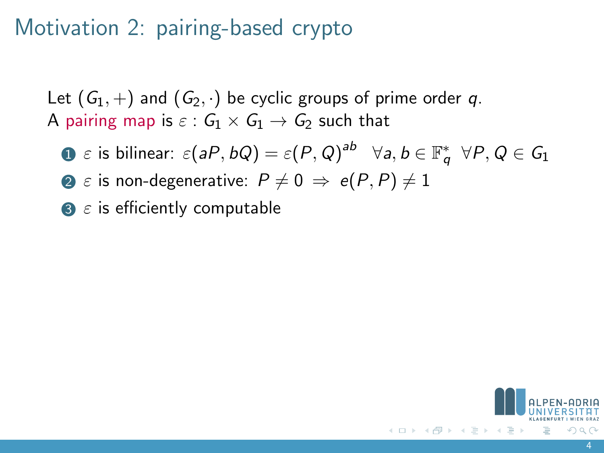# Motivation 2: pairing-based crypto

Let  $(G_1, +)$  and  $(G_2, \cdot)$  be cyclic groups of prime order q. A pairing map is  $\varepsilon$  :  $G_1 \times G_1 \rightarrow G_2$  such that

- $\Box$   $\varepsilon$  is bilinear:  $\varepsilon(aP,bQ)=\varepsilon(P,Q)^{ab}\quad \forall a,b\in \mathbb{F}_q^*\ \ \forall P,Q\in \mathcal{G}_1$
- **2**  $\varepsilon$  is non-degenerative:  $P \neq 0 \Rightarrow e(P, P) \neq 1$
- $\bullet$   $\varepsilon$  is efficiently computable

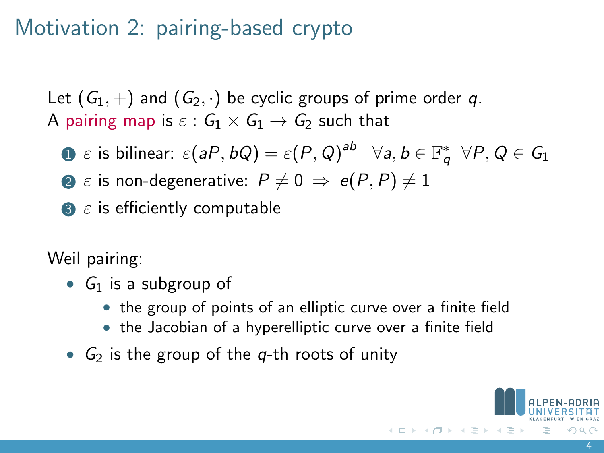# Motivation 2: pairing-based crypto

Let  $(G_1, +)$  and  $(G_2, \cdot)$  be cyclic groups of prime order q. A pairing map is  $\varepsilon$  :  $G_1 \times G_1 \rightarrow G_2$  such that

- $\Box$   $\varepsilon$  is bilinear:  $\varepsilon(aP,bQ)=\varepsilon(P,Q)^{ab}\quad \forall a,b\in \mathbb{F}_q^*\ \ \forall P,Q\in \mathcal{G}_1$
- **2**  $\varepsilon$  is non-degenerative:  $P \neq 0 \Rightarrow e(P, P) \neq 1$
- $\bullet$   $\varepsilon$  is efficiently computable

Weil pairing:

- $G_1$  is a subgroup of
	- the group of points of an elliptic curve over a finite field
	- the Jacobian of a hyperelliptic curve over a finite field
- $G<sub>2</sub>$  is the group of the q-th roots of unity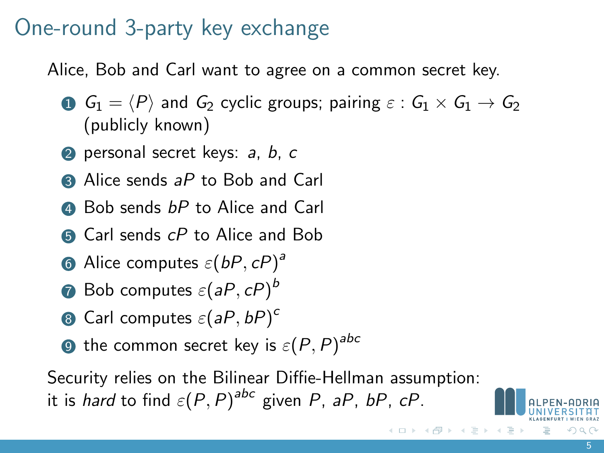#### One-round 3-party key exchange

Alice, Bob and Carl want to agree on a common secret key.

- **1**  $G_1 = \langle P \rangle$  and  $G_2$  cyclic groups; pairing  $\varepsilon : G_1 \times G_1 \rightarrow G_2$ (publicly known)
- **2** personal secret keys: a, b, c
- $\bigcirc$  Alice sends aP to Bob and Carl
- **4** Bob sends *bP* to Alice and Carl
- **6** Carl sends cP to Alice and Bob
- **6** Alice computes  $\varepsilon(bP, cP)^d$
- $\bm{\partial}$  Bob computes  $\varepsilon(\bm{\mathit{a}} P, \bm{\mathit{c}} P)^b$
- $\bullet$  Carl computes  $\varepsilon$  (aP, bP) $^{\circ}$
- $\bullet$  the common secret key is  $\varepsilon(P,P)^{abc}$

Security relies on the Bilinear Diffie-Hellman assumption: it is *hard* to find  $\varepsilon(P,P)^{abc}$  given P, aP, bP, cP.

 $\left\{ \begin{array}{ccc} 1 & 0 & 0 \\ 0 & 1 & 0 \end{array} \right\}$  ,  $\left\{ \begin{array}{ccc} 0 & 0 & 0 \\ 0 & 0 & 0 \end{array} \right\}$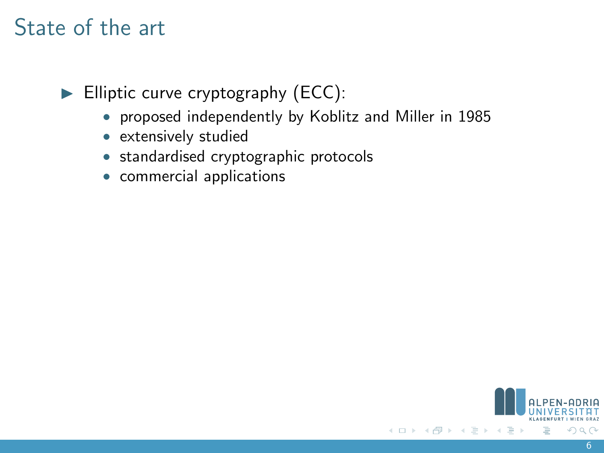# State of the art

 $\blacktriangleright$  Elliptic curve cryptography (ECC):

- proposed independently by Koblitz and Miller in 1985
- extensively studied
- standardised cryptographic protocols
- commercial applications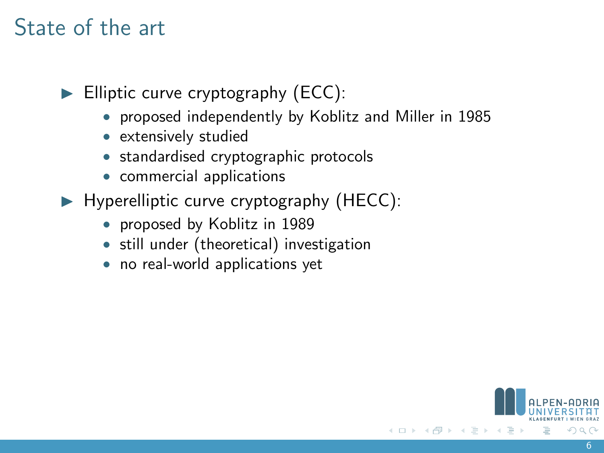# State of the art

 $\blacktriangleright$  Elliptic curve cryptography (ECC):

- proposed independently by Koblitz and Miller in 1985
- extensively studied
- standardised cryptographic protocols
- commercial applications
- $\blacktriangleright$  Hyperelliptic curve cryptography (HECC):
	- proposed by Koblitz in 1989
	- still under (theoretical) investigation
	- no real-world applications yet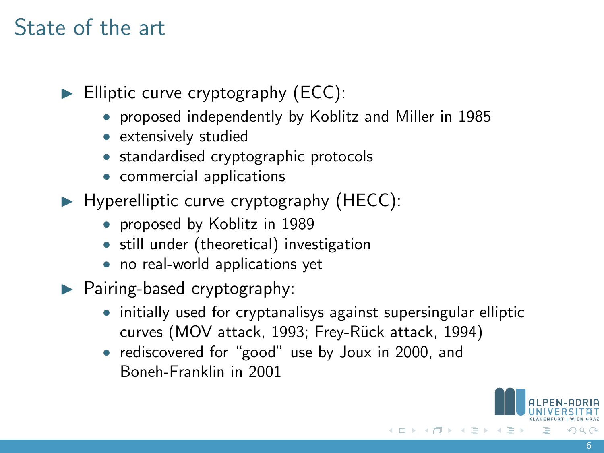# State of the art

 $\blacktriangleright$  Elliptic curve cryptography (ECC):

- proposed independently by Koblitz and Miller in 1985
- extensively studied
- standardised cryptographic protocols
- commercial applications
- $\blacktriangleright$  Hyperelliptic curve cryptography (HECC):
	- proposed by Koblitz in 1989
	- still under (theoretical) investigation
	- no real-world applications yet
- $\blacktriangleright$  Pairing-based cryptography:
	- initially used for cryptanalisys against supersingular elliptic curves (MOV attack, 1993; Frey-Rück attack, 1994)
	- rediscovered for "good" use by Joux in 2000, and Boneh-Franklin in 2001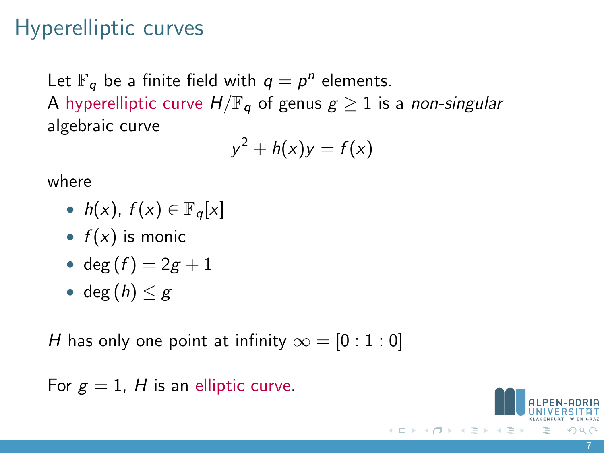# Hyperelliptic curves

Let  $\mathbb{F}_q$  be a finite field with  $q = p^n$  elements. A hyperelliptic curve  $H/\mathbb{F}_q$  of genus  $g \geq 1$  is a non-singular algebraic curve

$$
y^2 + h(x)y = f(x)
$$

where

- $h(x)$ ,  $f(x) \in \mathbb{F}_q[x]$
- $f(x)$  is monic
- deg  $(f) = 2g + 1$
- deg  $(h) < g$

H has only one point at infinity  $\infty = [0:1:0]$ 

For  $g = 1$ , H is an elliptic curve.

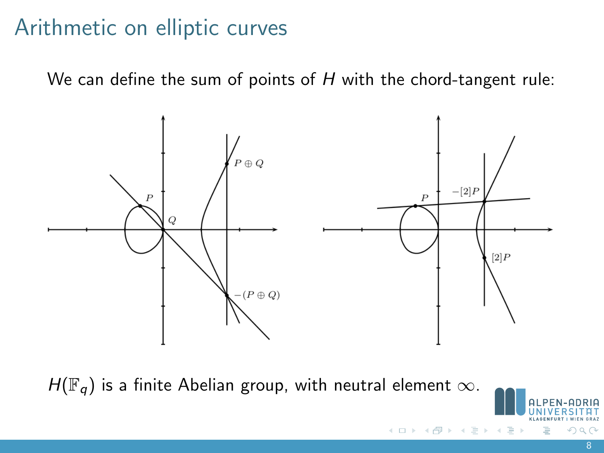# Arithmetic on elliptic curves

We can define the sum of points of  $H$  with the chord-tangent rule:



 $\leftarrow$   $\Box$   $\rightarrow$ 

 $H(\mathbb{F}_q)$  is a finite Abelian group, with neutral element  $\infty$ .

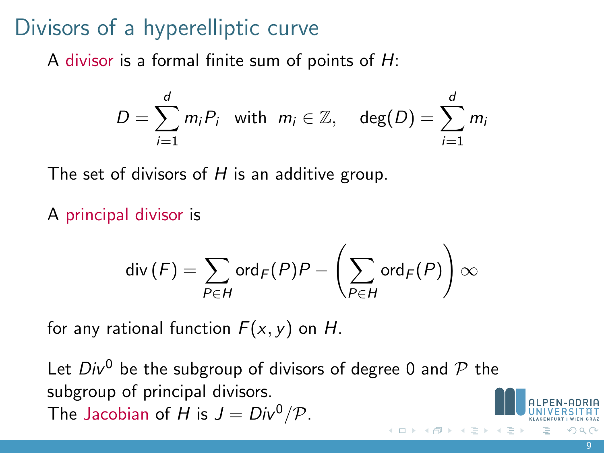# Divisors of a hyperelliptic curve

A divisor is a formal finite sum of points of  $H$ :

$$
D = \sum_{i=1}^d m_i P_i \text{ with } m_i \in \mathbb{Z}, \text{ deg}(D) = \sum_{i=1}^d m_i
$$

The set of divisors of  $H$  is an additive group.

A principal divisor is

$$
\textup{div}\left(F\right)=\sum_{P\in H}\textup{ord}_F(P)P-\left(\sum_{P\in H}\textup{ord}_F(P)\right)\infty
$$

for any rational function  $F(x, y)$  on H.

Let  $Div^0$  be the subgroup of divisors of degree 0 and  $P$  the subgroup of principal divisors. The Jacobian of H is  $J = Div^0/\mathcal{P}$ .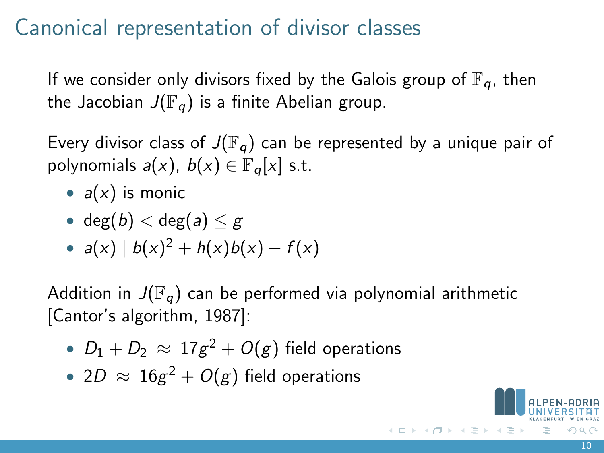# Canonical representation of divisor classes

If we consider only divisors fixed by the Galois group of  $\mathbb{F}_q$ , then the Jacobian  $J(\mathbb{F}_q)$  is a finite Abelian group.

Every divisor class of  $J(\mathbb{F}_q)$  can be represented by a unique pair of polynomials  $a(x)$ ,  $b(x) \in \mathbb{F}_q[x]$  s.t.

- $a(x)$  is monic
- deg $(b) <$ deg $(a) < g$
- $a(x) | b(x)^2 + h(x)b(x) f(x)$

Addition in  $J(\mathbb{F}_q)$  can be performed via polynomial arithmetic [Cantor's algorithm, 1987]:

- $\bullet$   $\; D_1+D_2 \; \approx \; 17 g^2 + O(g)$  field operations
- $\bullet$  2 $D$   $\approx$   $16 g^2 + O(g)$  field operations

イロト イ部 トイヨ トイヨト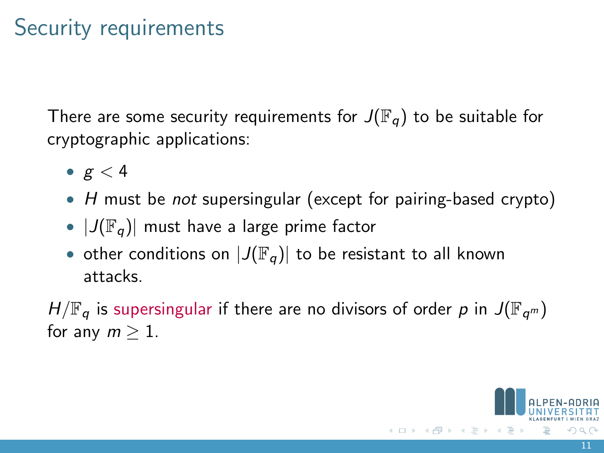# Security requirements

There are some security requirements for  $J(\mathbb{F}_q)$  to be suitable for cryptographic applications:

- $g < 4$
- H must be *not* supersingular (except for pairing-based crypto)
- $|J(\mathbb{F}_q)|$  must have a large prime factor
- other conditions on  $|J(\mathbb{F}_q)|$  to be resistant to all known attacks.

 $H/\mathbb{F}_q$  is supersingular if there are no divisors of order p in  $J(\mathbb{F}_{q^m})$ for any  $m > 1$ .

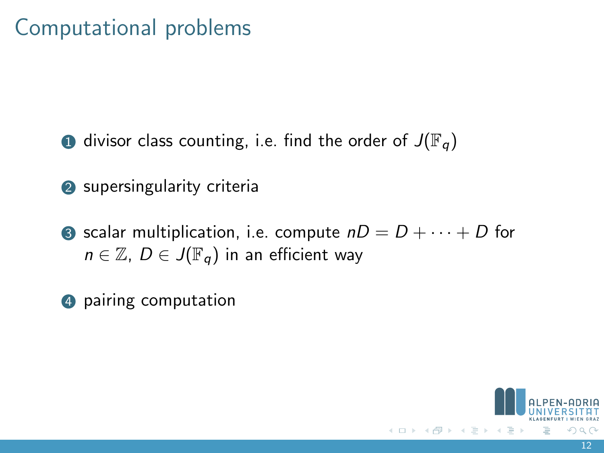# Computational problems

- **1** divisor class counting, i.e. find the order of  $J(\mathbb{F}_q)$
- 2 supersingularity criteria
- **3** scalar multiplication, i.e. compute  $nD = D + \cdots + D$  for  $n \in \mathbb{Z}$ ,  $D \in J(\mathbb{F}_q)$  in an efficient way
- 4 pairing computation

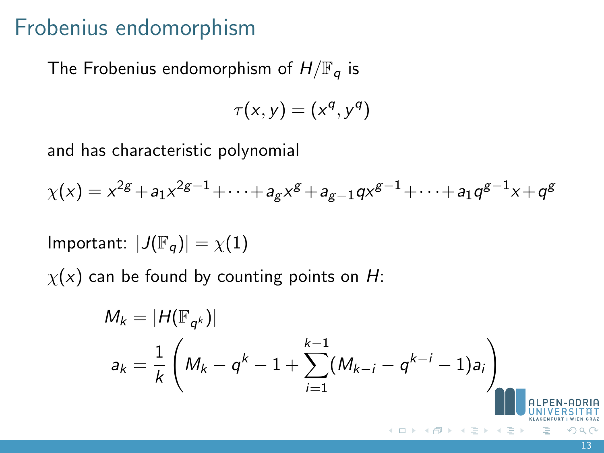#### Frobenius endomorphism

The Frobenius endomorphism of  $H/\mathbb{F}_q$  is

$$
\tau(x,y)=(x^q,y^q)
$$

and has characteristic polynomial

 $\chi(x)=x^{2g}+a_1x^{2g-1}+\cdots+a_gx^g+a_{g-1}qx^{g-1}+\cdots+a_1q^{g-1}x+q^g$ 

Important:  $|J(\mathbb{F}_q)| = \chi(1)$ 

 $\chi(x)$  can be found by counting points on H:

$$
M_{k} = |H(\mathbb{F}_{q^{k}})|
$$
  
\n
$$
a_{k} = \frac{1}{k} \left( M_{k} - q^{k} - 1 + \sum_{i=1}^{k-1} (M_{k-i} - q^{k-i} - 1) a_{i} \right)
$$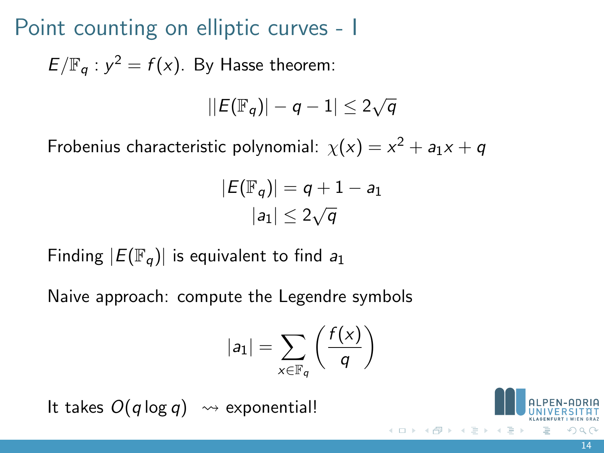Point counting on elliptic curves - I

 $E/\mathbb{F}_q$  :  $y^2 = f(x)$ . By Hasse theorem:

$$
||E(\mathbb{F}_q)|-q-1|\leq 2\sqrt{q}
$$

Frobenius characteristic polynomial:  $\chi(x) = x^2 + a_1x + q$ 

$$
|E(\mathbb{F}_q)| = q + 1 - a_1
$$
  

$$
|a_1| \le 2\sqrt{q}
$$

Finding  $|E(\mathbb{F}_q)|$  is equivalent to find  $a_1$ 

Naive approach: compute the Legendre symbols

$$
|a_1|=\sum_{x\in\mathbb{F}_q}\left(\frac{f(x)}{q}\right)
$$

It takes  $O(q \log q) \rightsquigarrow$  exponential!

 $\left\{ \begin{array}{ccc} 1 & 0 & 0 \\ 0 & 1 & 0 \end{array} \right\}$  ,  $\left\{ \begin{array}{ccc} 0 & 0 & 0 \\ 0 & 0 & 0 \end{array} \right\}$  ,  $\left\{ \begin{array}{ccc} 0 & 0 & 0 \\ 0 & 0 & 0 \end{array} \right\}$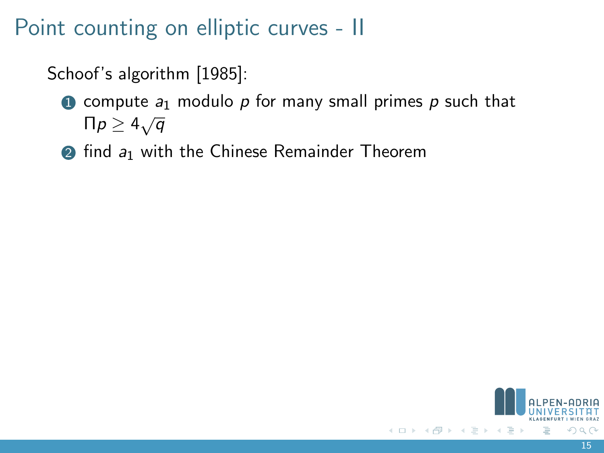# Point counting on elliptic curves - II

#### Schoof's algorithm [1985]:

- $\bullet$  compute  $a_1$  modulo p for many small primes p such that  $\Box$  Π $p \geq 4\sqrt{q}$
- $\odot$  find  $a_1$  with the Chinese Remainder Theorem

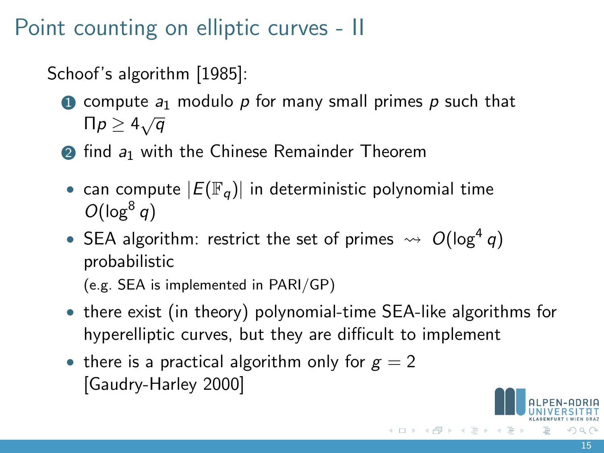Point counting on elliptic curves - II

#### Schoof's algorithm [1985]:

- **1** compute  $a_1$  modulo p for many small primes p such that  $\Box$  Π $p \geq 4\sqrt{q}$
- $\odot$  find  $a_1$  with the Chinese Remainder Theorem
- can compute  $|E(\mathbb{F}_q)|$  in deterministic polynomial time  $O(log^8 q)$
- SEA algorithm: restrict the set of primes  $\rightsquigarrow O(\log^4 q)$ probabilistic

(e.g. SEA is implemented in PARI/GP)

- there exist (in theory) polynomial-time SEA-like algorithms for hyperelliptic curves, but they are difficult to implement
- there is a practical algorithm only for  $g = 2$ [Gaudry-Harley 2000]

イロト イ部 トイヨ トイヨト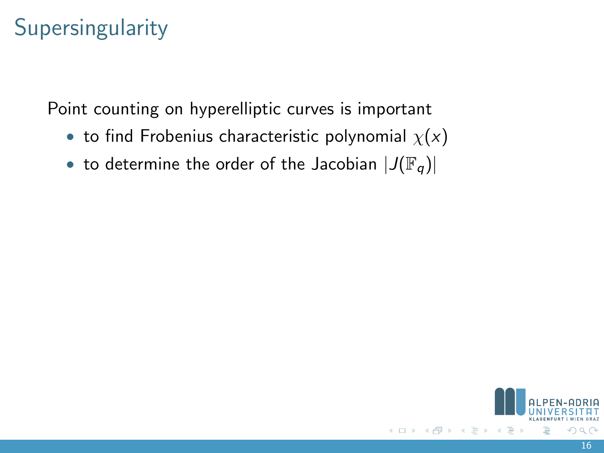# **Supersingularity**

Point counting on hyperelliptic curves is important

- to find Frobenius characteristic polynomial  $\chi(x)$
- to determine the order of the Jacobian  $|J(\mathbb{F}_q)|$

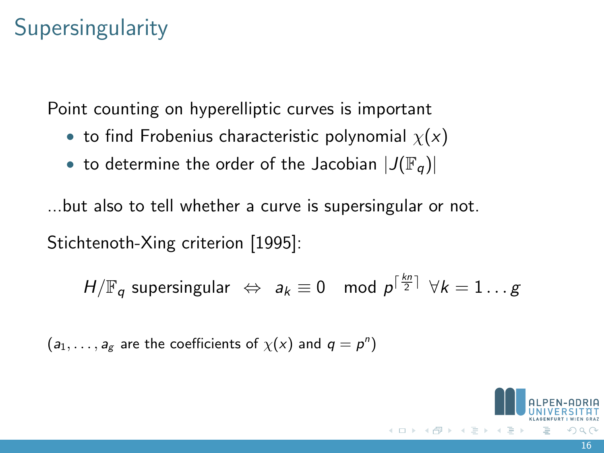# **Supersingularity**

Point counting on hyperelliptic curves is important

- to find Frobenius characteristic polynomial  $\chi(x)$
- to determine the order of the Jacobian  $|J(\mathbb{F}_q)|$

...but also to tell whether a curve is supersingular or not.

Stichtenoth-Xing criterion [1995]:

$$
H/\mathbb{F}_q
$$
 supersingular  $\Leftrightarrow a_k \equiv 0 \mod p^{\lceil \frac{kn}{2} \rceil} \ \forall k = 1 \dots g$ 

 $(a_1, \ldots, a_g)$  are the coefficients of  $\chi(x)$  and  $q = p^n$ )

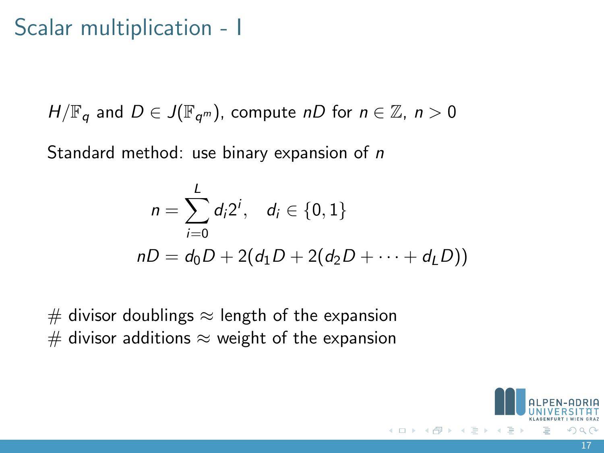# Scalar multiplication - I

$$
H/\mathbb{F}_q
$$
 and  $D \in J(\mathbb{F}_{q^m})$ , compute  $nD$  for  $n \in \mathbb{Z}$ ,  $n > 0$ 

Standard method: use binary expansion of n

$$
n = \sum_{i=0}^{L} d_i 2^i, \quad d_i \in \{0, 1\}
$$
  

$$
nD = d_0 D + 2(d_1 D + 2(d_2 D + \dots + d_L D))
$$

 $#$  divisor doublings  $\approx$  length of the expansion  $#$  divisor additions  $\approx$  weight of the expansion

 $\leftarrow$   $\Box$   $\rightarrow$ 

17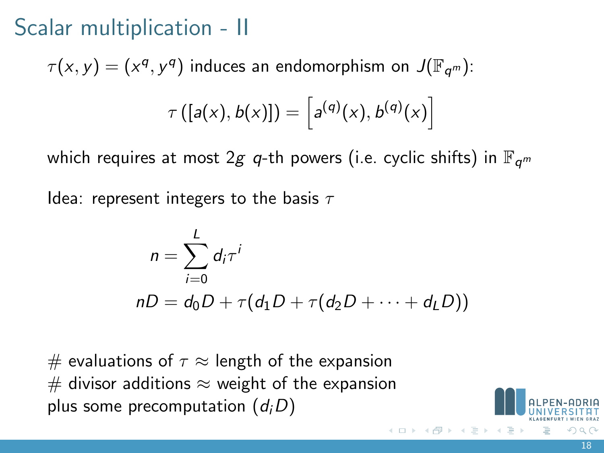# Scalar multiplication - II

 $\tau(x,y)=(x^q,y^q)$  induces an endomorphism on  $J(\mathbb{F}_{q^m})$ :

$$
\tau([a(x),b(x)]) = [a^{(q)}(x),b^{(q)}(x)]
$$

which requires at most 2g q-th powers (i.e. cyclic shifts) in  $\mathbb{F}_{q^m}$ 

Idea: represent integers to the basis  $\tau$ 

$$
n = \sum_{i=0}^{L} d_i \tau^i
$$
  

$$
nD = d_0 D + \tau (d_1 D + \tau (d_2 D + \dots + d_L D))
$$

# evaluations of  $\tau \approx$  length of the expansion  $#$  divisor additions  $\approx$  weight of the expansion plus some precomputation  $(d_iD)$ 

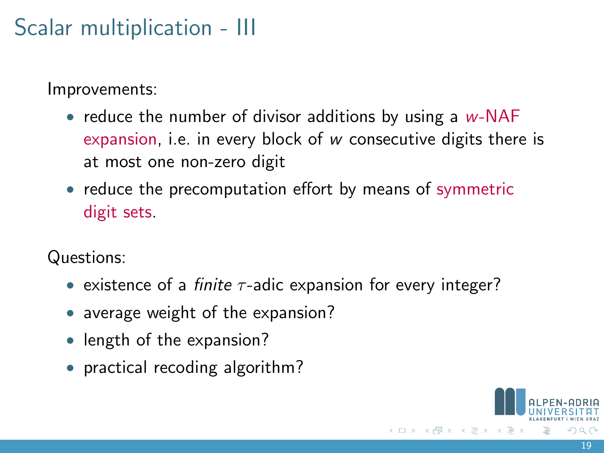# Scalar multiplication - III

Improvements:

- reduce the number of divisor additions by using a  $w$ -NAF expansion, i.e. in every block of w consecutive digits there is at most one non-zero digit
- reduce the precomputation effort by means of symmetric digit sets.

Questions:

- existence of a *finite*  $\tau$ -adic expansion for every integer?
- average weight of the expansion?
- length of the expansion?
- practical recoding algorithm?

イロト イ押 ト イヨ ト イヨ)